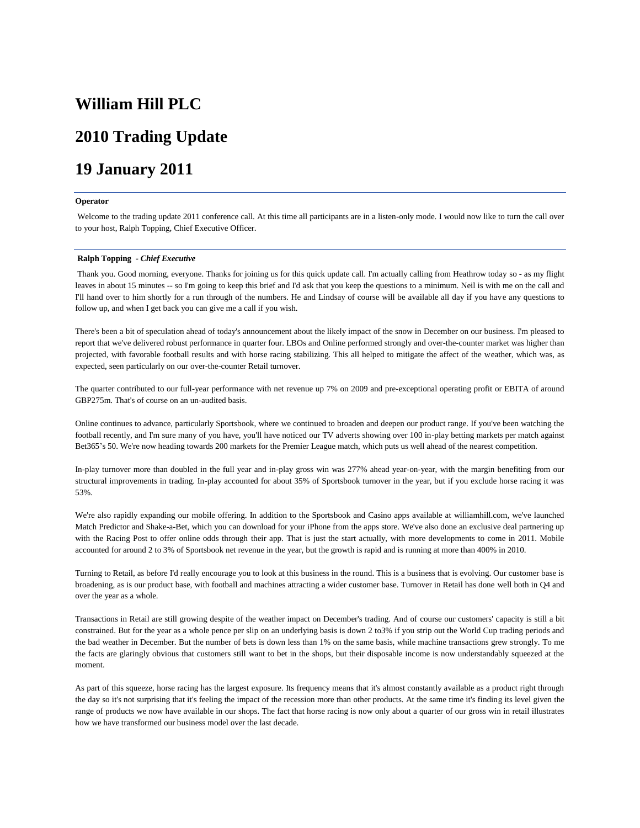# **William Hill PLC**

# **2010 Trading Update**

# **19 January 2011**

# **Operator**

Welcome to the trading update 2011 conference call. At this time all participants are in a listen-only mode. I would now like to turn the call over to your host, Ralph Topping, Chief Executive Officer.

# **Ralph Topping** *- Chief Executive*

Thank you. Good morning, everyone. Thanks for joining us for this quick update call. I'm actually calling from Heathrow today so - as my flight leaves in about 15 minutes -- so I'm going to keep this brief and I'd ask that you keep the questions to a minimum. Neil is with me on the call and I'll hand over to him shortly for a run through of the numbers. He and Lindsay of course will be available all day if you have any questions to follow up, and when I get back you can give me a call if you wish.

There's been a bit of speculation ahead of today's announcement about the likely impact of the snow in December on our business. I'm pleased to report that we've delivered robust performance in quarter four. LBOs and Online performed strongly and over-the-counter market was higher than projected, with favorable football results and with horse racing stabilizing. This all helped to mitigate the affect of the weather, which was, as expected, seen particularly on our over-the-counter Retail turnover.

The quarter contributed to our full-year performance with net revenue up 7% on 2009 and pre-exceptional operating profit or EBITA of around GBP275m. That's of course on an un-audited basis.

Online continues to advance, particularly Sportsbook, where we continued to broaden and deepen our product range. If you've been watching the football recently, and I'm sure many of you have, you'll have noticed our TV adverts showing over 100 in-play betting markets per match against Bet365's 50. We're now heading towards 200 markets for the Premier League match, which puts us well ahead of the nearest competition.

In-play turnover more than doubled in the full year and in-play gross win was 277% ahead year-on-year, with the margin benefiting from our structural improvements in trading. In-play accounted for about 35% of Sportsbook turnover in the year, but if you exclude horse racing it was 53%.

We're also rapidly expanding our mobile offering. In addition to the Sportsbook and Casino apps available at williamhill.com, we've launched Match Predictor and Shake-a-Bet, which you can download for your iPhone from the apps store. We've also done an exclusive deal partnering up with the Racing Post to offer online odds through their app. That is just the start actually, with more developments to come in 2011. Mobile accounted for around 2 to 3% of Sportsbook net revenue in the year, but the growth is rapid and is running at more than 400% in 2010.

Turning to Retail, as before I'd really encourage you to look at this business in the round. This is a business that is evolving. Our customer base is broadening, as is our product base, with football and machines attracting a wider customer base. Turnover in Retail has done well both in Q4 and over the year as a whole.

Transactions in Retail are still growing despite of the weather impact on December's trading. And of course our customers' capacity is still a bit constrained. But for the year as a whole pence per slip on an underlying basis is down 2 to3% if you strip out the World Cup trading periods and the bad weather in December. But the number of bets is down less than 1% on the same basis, while machine transactions grew strongly. To me the facts are glaringly obvious that customers still want to bet in the shops, but their disposable income is now understandably squeezed at the moment.

As part of this squeeze, horse racing has the largest exposure. Its frequency means that it's almost constantly available as a product right through the day so it's not surprising that it's feeling the impact of the recession more than other products. At the same time it's finding its level given the range of products we now have available in our shops. The fact that horse racing is now only about a quarter of our gross win in retail illustrates how we have transformed our business model over the last decade.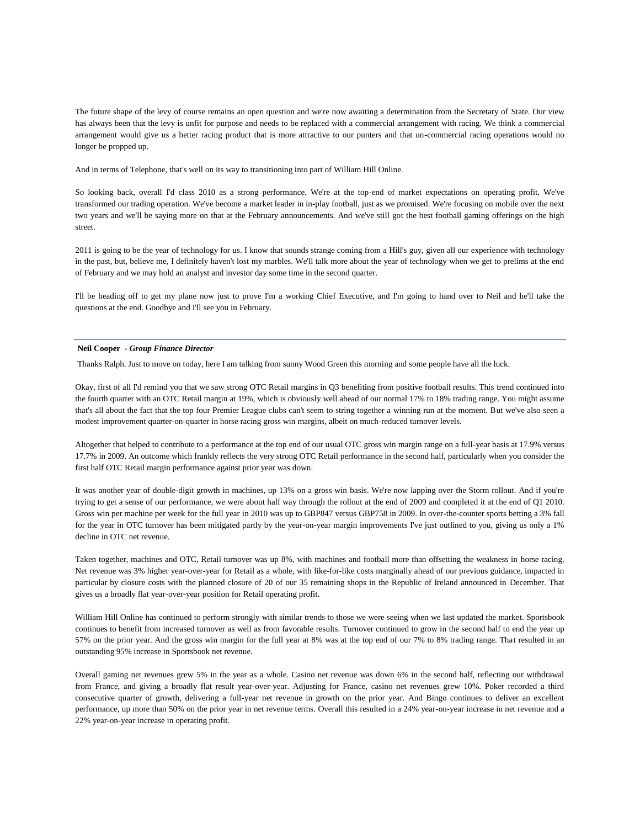The future shape of the levy of course remains an open question and we're now awaiting a determination from the Secretary of State. Our view has always been that the levy is unfit for purpose and needs to be replaced with a commercial arrangement with racing. We think a commercial arrangement would give us a better racing product that is more attractive to our punters and that un-commercial racing operations would no longer be propped up.

And in terms of Telephone, that's well on its way to transitioning into part of William Hill Online.

So looking back, overall I'd class 2010 as a strong performance. We're at the top-end of market expectations on operating profit. We've transformed our trading operation. We've become a market leader in in-play football, just as we promised. We're focusing on mobile over the next two years and we'll be saying more on that at the February announcements. And we've still got the best football gaming offerings on the high street.

2011 is going to be the year of technology for us. I know that sounds strange coming from a Hill's guy, given all our experience with technology in the past, but, believe me, I definitely haven't lost my marbles. We'll talk more about the year of technology when we get to prelims at the end of February and we may hold an analyst and investor day some time in the second quarter.

I'll be heading off to get my plane now just to prove I'm a working Chief Executive, and I'm going to hand over to Neil and he'll take the questions at the end. Goodbye and I'll see you in February.

# **Neil Cooper** *- Group Finance Director*

Thanks Ralph. Just to move on today, here I am talking from sunny Wood Green this morning and some people have all the luck.

Okay, first of all I'd remind you that we saw strong OTC Retail margins in Q3 benefiting from positive football results. This trend continued into the fourth quarter with an OTC Retail margin at 19%, which is obviously well ahead of our normal 17% to 18% trading range. You might assume that's all about the fact that the top four Premier League clubs can't seem to string together a winning run at the moment. But we've also seen a modest improvement quarter-on-quarter in horse racing gross win margins, albeit on much-reduced turnover levels.

Altogether that helped to contribute to a performance at the top end of our usual OTC gross win margin range on a full-year basis at 17.9% versus 17.7% in 2009. An outcome which frankly reflects the very strong OTC Retail performance in the second half, particularly when you consider the first half OTC Retail margin performance against prior year was down.

It was another year of double-digit growth in machines, up 13% on a gross win basis. We're now lapping over the Storm rollout. And if you're trying to get a sense of our performance, we were about half way through the rollout at the end of 2009 and completed it at the end of Q1 2010. Gross win per machine per week for the full year in 2010 was up to GBP847 versus GBP758 in 2009. In over-the-counter sports betting a 3% fall for the year in OTC turnover has been mitigated partly by the year-on-year margin improvements I've just outlined to you, giving us only a 1% decline in OTC net revenue.

Taken together, machines and OTC, Retail turnover was up 8%, with machines and football more than offsetting the weakness in horse racing. Net revenue was 3% higher year-over-year for Retail as a whole, with like-for-like costs marginally ahead of our previous guidance, impacted in particular by closure costs with the planned closure of 20 of our 35 remaining shops in the Republic of Ireland announced in December. That gives us a broadly flat year-over-year position for Retail operating profit.

William Hill Online has continued to perform strongly with similar trends to those we were seeing when we last updated the market. Sportsbook continues to benefit from increased turnover as well as from favorable results. Turnover continued to grow in the second half to end the year up 57% on the prior year. And the gross win margin for the full year at 8% was at the top end of our 7% to 8% trading range. That resulted in an outstanding 95% increase in Sportsbook net revenue.

Overall gaming net revenues grew 5% in the year as a whole. Casino net revenue was down 6% in the second half, reflecting our withdrawal from France, and giving a broadly flat result year-over-year. Adjusting for France, casino net revenues grew 10%. Poker recorded a third consecutive quarter of growth, delivering a full-year net revenue in growth on the prior year. And Bingo continues to deliver an excellent performance, up more than 50% on the prior year in net revenue terms. Overall this resulted in a 24% year-on-year increase in net revenue and a 22% year-on-year increase in operating profit.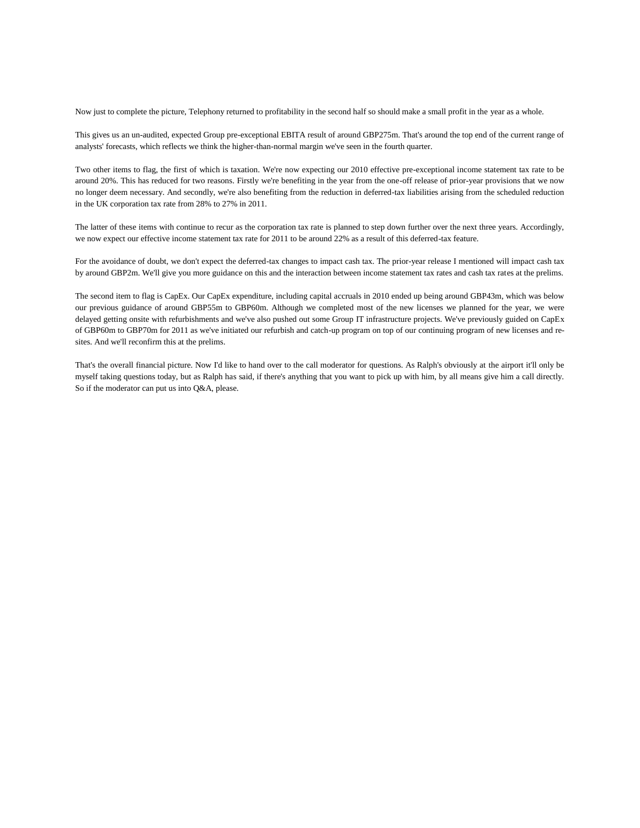Now just to complete the picture, Telephony returned to profitability in the second half so should make a small profit in the year as a whole.

This gives us an un-audited, expected Group pre-exceptional EBITA result of around GBP275m. That's around the top end of the current range of analysts' forecasts, which reflects we think the higher-than-normal margin we've seen in the fourth quarter.

Two other items to flag, the first of which is taxation. We're now expecting our 2010 effective pre-exceptional income statement tax rate to be around 20%. This has reduced for two reasons. Firstly we're benefiting in the year from the one-off release of prior-year provisions that we now no longer deem necessary. And secondly, we're also benefiting from the reduction in deferred-tax liabilities arising from the scheduled reduction in the UK corporation tax rate from 28% to 27% in 2011.

The latter of these items with continue to recur as the corporation tax rate is planned to step down further over the next three years. Accordingly, we now expect our effective income statement tax rate for 2011 to be around 22% as a result of this deferred-tax feature.

For the avoidance of doubt, we don't expect the deferred-tax changes to impact cash tax. The prior-year release I mentioned will impact cash tax by around GBP2m. We'll give you more guidance on this and the interaction between income statement tax rates and cash tax rates at the prelims.

The second item to flag is CapEx. Our CapEx expenditure, including capital accruals in 2010 ended up being around GBP43m, which was below our previous guidance of around GBP55m to GBP60m. Although we completed most of the new licenses we planned for the year, we were delayed getting onsite with refurbishments and we've also pushed out some Group IT infrastructure projects. We've previously guided on CapEx of GBP60m to GBP70m for 2011 as we've initiated our refurbish and catch-up program on top of our continuing program of new licenses and resites. And we'll reconfirm this at the prelims.

That's the overall financial picture. Now I'd like to hand over to the call moderator for questions. As Ralph's obviously at the airport it'll only be myself taking questions today, but as Ralph has said, if there's anything that you want to pick up with him, by all means give him a call directly. So if the moderator can put us into Q&A, please.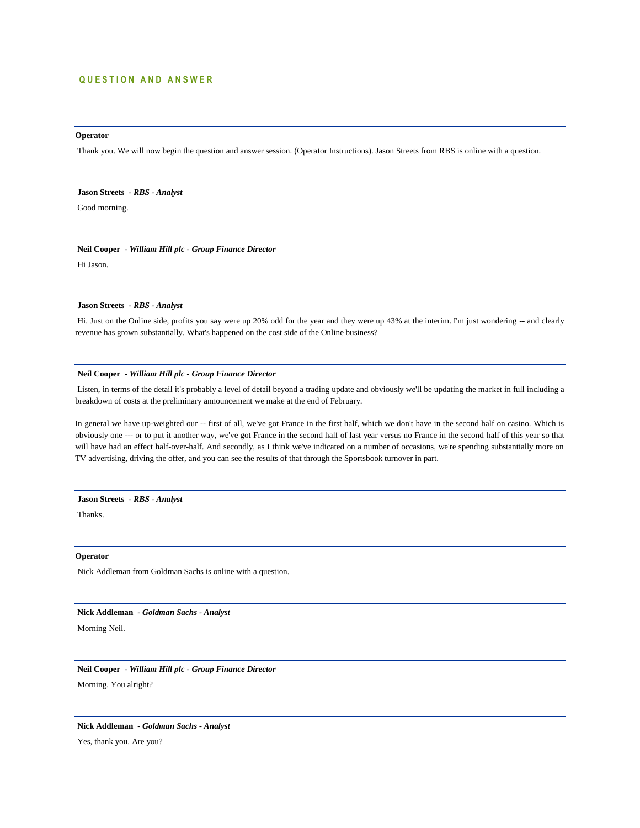# **QUESTION AND ANSWER**

# **Operator**

Thank you. We will now begin the question and answer session. (Operator Instructions). Jason Streets from RBS is online with a question.

# **Jason Streets** *- RBS - Analyst*

Good morning.

# **Neil Cooper** *- William Hill plc - Group Finance Director*

Hi Jason.

# **Jason Streets** *- RBS - Analyst*

Hi. Just on the Online side, profits you say were up 20% odd for the year and they were up 43% at the interim. I'm just wondering -- and clearly revenue has grown substantially. What's happened on the cost side of the Online business?

# **Neil Cooper** *- William Hill plc - Group Finance Director*

Listen, in terms of the detail it's probably a level of detail beyond a trading update and obviously we'll be updating the market in full including a breakdown of costs at the preliminary announcement we make at the end of February.

In general we have up-weighted our -- first of all, we've got France in the first half, which we don't have in the second half on casino. Which is obviously one --- or to put it another way, we've got France in the second half of last year versus no France in the second half of this year so that will have had an effect half-over-half. And secondly, as I think we've indicated on a number of occasions, we're spending substantially more on TV advertising, driving the offer, and you can see the results of that through the Sportsbook turnover in part.

# **Jason Streets** *- RBS - Analyst*

Thanks.

# **Operator**

Nick Addleman from Goldman Sachs is online with a question.

# **Nick Addleman** *- Goldman Sachs - Analyst*

Morning Neil.

**Neil Cooper** *- William Hill plc - Group Finance Director*  Morning. You alright?

**Nick Addleman** *- Goldman Sachs - Analyst* 

Yes, thank you. Are you?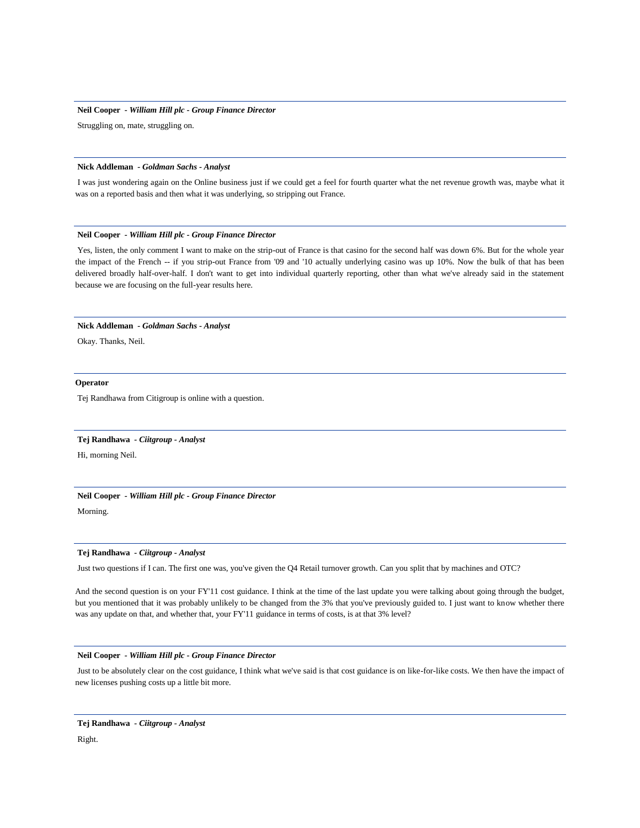Struggling on, mate, struggling on.

# **Nick Addleman** *- Goldman Sachs - Analyst*

I was just wondering again on the Online business just if we could get a feel for fourth quarter what the net revenue growth was, maybe what it was on a reported basis and then what it was underlying, so stripping out France.

# **Neil Cooper** *- William Hill plc - Group Finance Director*

Yes, listen, the only comment I want to make on the strip-out of France is that casino for the second half was down 6%. But for the whole year the impact of the French -- if you strip-out France from '09 and '10 actually underlying casino was up 10%. Now the bulk of that has been delivered broadly half-over-half. I don't want to get into individual quarterly reporting, other than what we've already said in the statement because we are focusing on the full-year results here.

### **Nick Addleman** *- Goldman Sachs - Analyst*

Okay. Thanks, Neil.

#### **Operator**

Tej Randhawa from Citigroup is online with a question.

#### **Tej Randhawa** *- Ciitgroup - Analyst*

Hi, morning Neil.

# **Neil Cooper** *- William Hill plc - Group Finance Director*

Morning.

# **Tej Randhawa** *- Ciitgroup - Analyst*

Just two questions if I can. The first one was, you've given the Q4 Retail turnover growth. Can you split that by machines and OTC?

And the second question is on your FY'11 cost guidance. I think at the time of the last update you were talking about going through the budget, but you mentioned that it was probably unlikely to be changed from the 3% that you've previously guided to. I just want to know whether there was any update on that, and whether that, your FY'11 guidance in terms of costs, is at that 3% level?

# **Neil Cooper** *- William Hill plc - Group Finance Director*

Just to be absolutely clear on the cost guidance, I think what we've said is that cost guidance is on like-for-like costs. We then have the impact of new licenses pushing costs up a little bit more.

Right.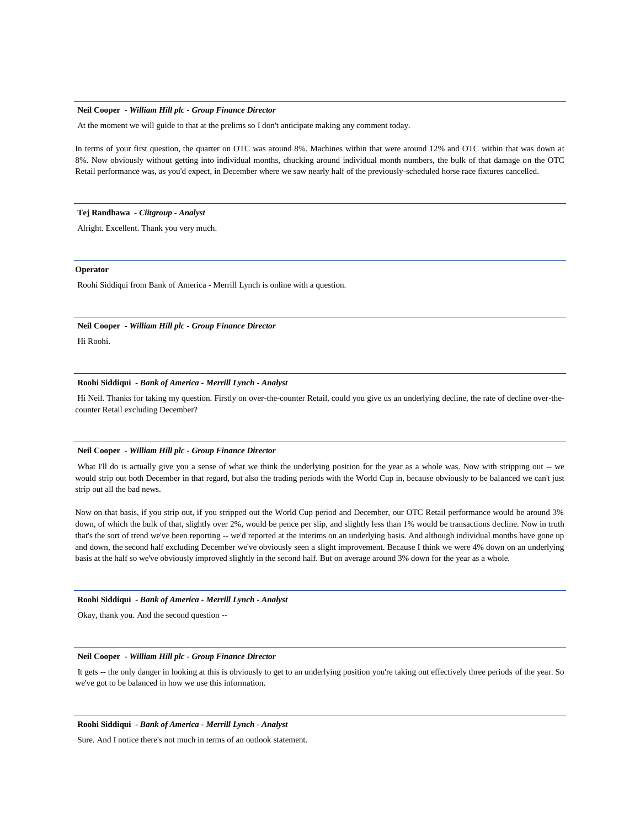At the moment we will guide to that at the prelims so I don't anticipate making any comment today.

In terms of your first question, the quarter on OTC was around 8%. Machines within that were around 12% and OTC within that was down at 8%. Now obviously without getting into individual months, chucking around individual month numbers, the bulk of that damage on the OTC Retail performance was, as you'd expect, in December where we saw nearly half of the previously-scheduled horse race fixtures cancelled.

## **Tej Randhawa** *- Ciitgroup - Analyst*

Alright. Excellent. Thank you very much.

#### **Operator**

Roohi Siddiqui from Bank of America - Merrill Lynch is online with a question.

# **Neil Cooper** *- William Hill plc - Group Finance Director*

Hi Roohi.

#### **Roohi Siddiqui** *- Bank of America - Merrill Lynch - Analyst*

Hi Neil. Thanks for taking my question. Firstly on over-the-counter Retail, could you give us an underlying decline, the rate of decline over-thecounter Retail excluding December?

#### **Neil Cooper** *- William Hill plc - Group Finance Director*

What I'll do is actually give you a sense of what we think the underlying position for the year as a whole was. Now with stripping out -- we would strip out both December in that regard, but also the trading periods with the World Cup in, because obviously to be balanced we can't just strip out all the bad news.

Now on that basis, if you strip out, if you stripped out the World Cup period and December, our OTC Retail performance would be around 3% down, of which the bulk of that, slightly over 2%, would be pence per slip, and slightly less than 1% would be transactions decline. Now in truth that's the sort of trend we've been reporting -- we'd reported at the interims on an underlying basis. And although individual months have gone up and down, the second half excluding December we've obviously seen a slight improvement. Because I think we were 4% down on an underlying basis at the half so we've obviously improved slightly in the second half. But on average around 3% down for the year as a whole.

# **Roohi Siddiqui** *- Bank of America - Merrill Lynch - Analyst*

Okay, thank you. And the second question --

#### **Neil Cooper** *- William Hill plc - Group Finance Director*

It gets -- the only danger in looking at this is obviously to get to an underlying position you're taking out effectively three periods of the year. So we've got to be balanced in how we use this information.

# **Roohi Siddiqui** *- Bank of America - Merrill Lynch - Analyst*

Sure. And I notice there's not much in terms of an outlook statement.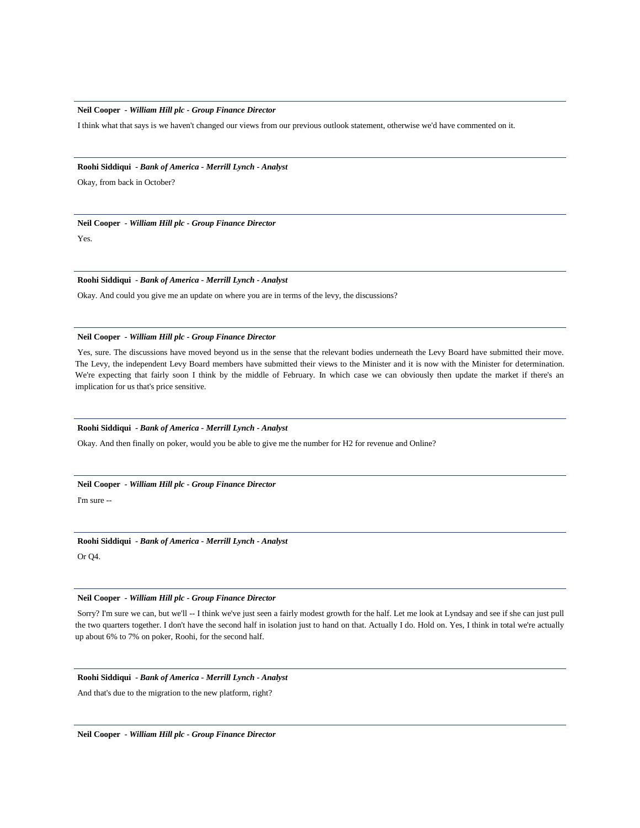I think what that says is we haven't changed our views from our previous outlook statement, otherwise we'd have commented on it.

# **Roohi Siddiqui** *- Bank of America - Merrill Lynch - Analyst*

Okay, from back in October?

# **Neil Cooper** *- William Hill plc - Group Finance Director*

Yes.

# **Roohi Siddiqui** *- Bank of America - Merrill Lynch - Analyst*

Okay. And could you give me an update on where you are in terms of the levy, the discussions?

# **Neil Cooper** *- William Hill plc - Group Finance Director*

Yes, sure. The discussions have moved beyond us in the sense that the relevant bodies underneath the Levy Board have submitted their move. The Levy, the independent Levy Board members have submitted their views to the Minister and it is now with the Minister for determination. We're expecting that fairly soon I think by the middle of February. In which case we can obviously then update the market if there's an implication for us that's price sensitive.

#### **Roohi Siddiqui** *- Bank of America - Merrill Lynch - Analyst*

Okay. And then finally on poker, would you be able to give me the number for H2 for revenue and Online?

# **Neil Cooper** *- William Hill plc - Group Finance Director*

I'm sure --

# **Roohi Siddiqui** *- Bank of America - Merrill Lynch - Analyst*

Or Q4.

# **Neil Cooper** *- William Hill plc - Group Finance Director*

Sorry? I'm sure we can, but we'll -- I think we've just seen a fairly modest growth for the half. Let me look at Lyndsay and see if she can just pull the two quarters together. I don't have the second half in isolation just to hand on that. Actually I do. Hold on. Yes, I think in total we're actually up about 6% to 7% on poker, Roohi, for the second half.

# **Roohi Siddiqui** *- Bank of America - Merrill Lynch - Analyst*

And that's due to the migration to the new platform, right?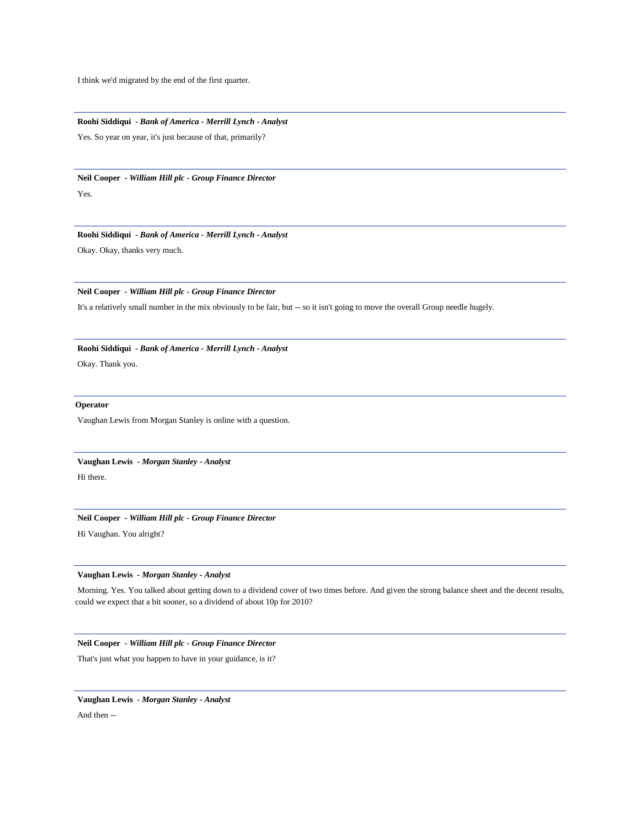I think we'd migrated by the end of the first quarter.

**Roohi Siddiqui** *- Bank of America - Merrill Lynch - Analyst*  Yes. So year on year, it's just because of that, primarily?

**Neil Cooper** *- William Hill plc - Group Finance Director* 

Yes.

**Roohi Siddiqui** *- Bank of America - Merrill Lynch - Analyst*  Okay. Okay, thanks very much.

**Neil Cooper** *- William Hill plc - Group Finance Director* 

It's a relatively small number in the mix obviously to be fair, but -- so it isn't going to move the overall Group needle hugely.

**Roohi Siddiqui** *- Bank of America - Merrill Lynch - Analyst* 

Okay. Thank you.

# **Operator**

Vaughan Lewis from Morgan Stanley is online with a question.

**Vaughan Lewis** *- Morgan Stanley - Analyst*  Hi there.

**Neil Cooper** *- William Hill plc - Group Finance Director* 

Hi Vaughan. You alright?

**Vaughan Lewis** *- Morgan Stanley - Analyst* 

Morning. Yes. You talked about getting down to a dividend cover of two times before. And given the strong balance sheet and the decent results, could we expect that a bit sooner, so a dividend of about 10p for 2010?

**Neil Cooper** *- William Hill plc - Group Finance Director* 

That's just what you happen to have in your guidance, is it?

**Vaughan Lewis** *- Morgan Stanley - Analyst*  And then --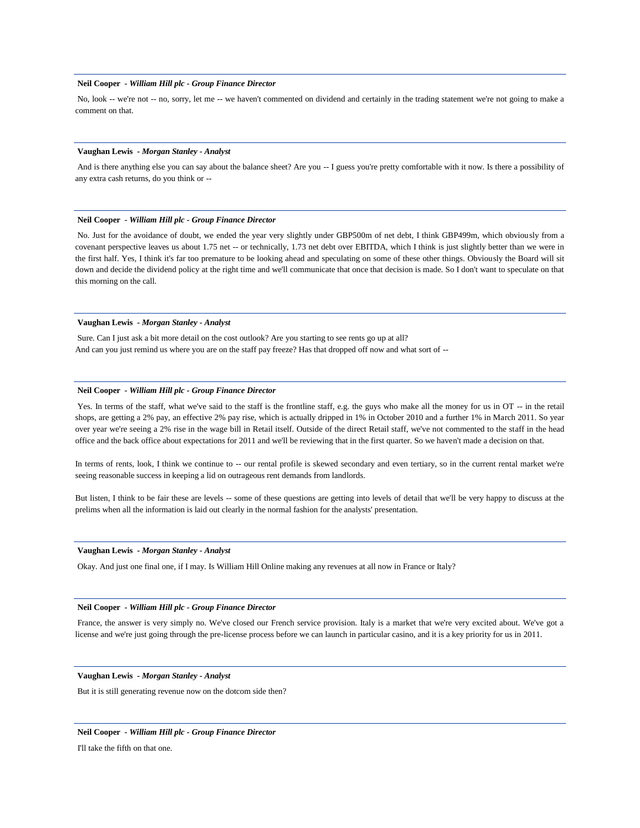No, look -- we're not -- no, sorry, let me -- we haven't commented on dividend and certainly in the trading statement we're not going to make a comment on that.

#### **Vaughan Lewis** *- Morgan Stanley - Analyst*

And is there anything else you can say about the balance sheet? Are you -- I guess you're pretty comfortable with it now. Is there a possibility of any extra cash returns, do you think or --

#### **Neil Cooper** *- William Hill plc - Group Finance Director*

No. Just for the avoidance of doubt, we ended the year very slightly under GBP500m of net debt, I think GBP499m, which obviously from a covenant perspective leaves us about 1.75 net -- or technically, 1.73 net debt over EBITDA, which I think is just slightly better than we were in the first half. Yes, I think it's far too premature to be looking ahead and speculating on some of these other things. Obviously the Board will sit down and decide the dividend policy at the right time and we'll communicate that once that decision is made. So I don't want to speculate on that this morning on the call.

# **Vaughan Lewis** *- Morgan Stanley - Analyst*

Sure. Can I just ask a bit more detail on the cost outlook? Are you starting to see rents go up at all? And can you just remind us where you are on the staff pay freeze? Has that dropped off now and what sort of --

### **Neil Cooper** *- William Hill plc - Group Finance Director*

Yes. In terms of the staff, what we've said to the staff is the frontline staff, e.g. the guys who make all the money for us in OT -- in the retail shops, are getting a 2% pay, an effective 2% pay rise, which is actually dripped in 1% in October 2010 and a further 1% in March 2011. So year over year we're seeing a 2% rise in the wage bill in Retail itself. Outside of the direct Retail staff, we've not commented to the staff in the head office and the back office about expectations for 2011 and we'll be reviewing that in the first quarter. So we haven't made a decision on that.

In terms of rents, look, I think we continue to -- our rental profile is skewed secondary and even tertiary, so in the current rental market we're seeing reasonable success in keeping a lid on outrageous rent demands from landlords.

But listen, I think to be fair these are levels -- some of these questions are getting into levels of detail that we'll be very happy to discuss at the prelims when all the information is laid out clearly in the normal fashion for the analysts' presentation.

#### **Vaughan Lewis** *- Morgan Stanley - Analyst*

Okay. And just one final one, if I may. Is William Hill Online making any revenues at all now in France or Italy?

#### **Neil Cooper** *- William Hill plc - Group Finance Director*

France, the answer is very simply no. We've closed our French service provision. Italy is a market that we're very excited about. We've got a license and we're just going through the pre-license process before we can launch in particular casino, and it is a key priority for us in 2011.

#### **Vaughan Lewis** *- Morgan Stanley - Analyst*

But it is still generating revenue now on the dotcom side then?

#### **Neil Cooper** *- William Hill plc - Group Finance Director*

I'll take the fifth on that one.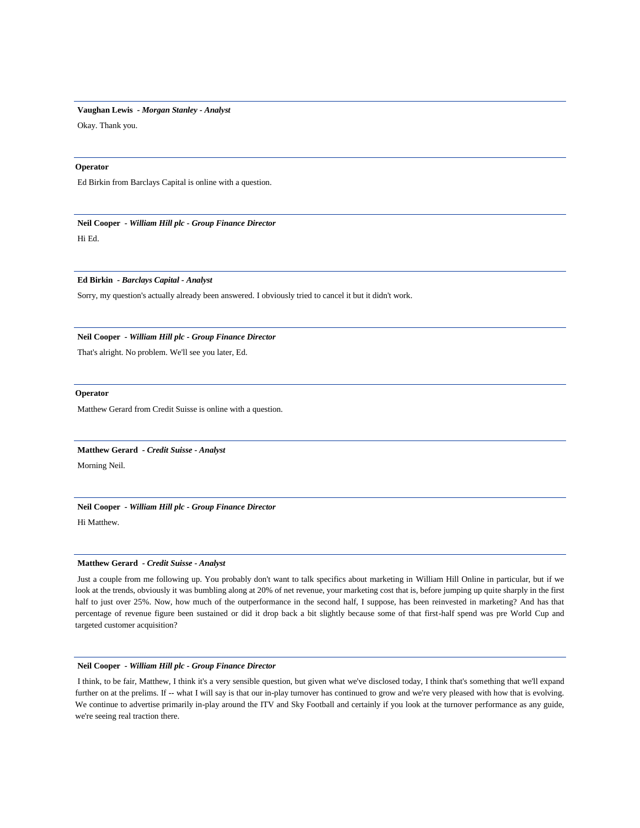# **Vaughan Lewis** *- Morgan Stanley - Analyst*

Okay. Thank you.

# **Operator**

Ed Birkin from Barclays Capital is online with a question.

**Neil Cooper** *- William Hill plc - Group Finance Director*  Hi Ed.

# **Ed Birkin** *- Barclays Capital - Analyst*

Sorry, my question's actually already been answered. I obviously tried to cancel it but it didn't work.

# **Neil Cooper** *- William Hill plc - Group Finance Director*

That's alright. No problem. We'll see you later, Ed.

#### **Operator**

Matthew Gerard from Credit Suisse is online with a question.

#### **Matthew Gerard** *- Credit Suisse - Analyst*

Morning Neil.

### **Neil Cooper** *- William Hill plc - Group Finance Director*

Hi Matthew.

# **Matthew Gerard** *- Credit Suisse - Analyst*

Just a couple from me following up. You probably don't want to talk specifics about marketing in William Hill Online in particular, but if we look at the trends, obviously it was bumbling along at 20% of net revenue, your marketing cost that is, before jumping up quite sharply in the first half to just over 25%. Now, how much of the outperformance in the second half, I suppose, has been reinvested in marketing? And has that percentage of revenue figure been sustained or did it drop back a bit slightly because some of that first-half spend was pre World Cup and targeted customer acquisition?

# **Neil Cooper** *- William Hill plc - Group Finance Director*

I think, to be fair, Matthew, I think it's a very sensible question, but given what we've disclosed today, I think that's something that we'll expand further on at the prelims. If -- what I will say is that our in-play turnover has continued to grow and we're very pleased with how that is evolving. We continue to advertise primarily in-play around the ITV and Sky Football and certainly if you look at the turnover performance as any guide, we're seeing real traction there.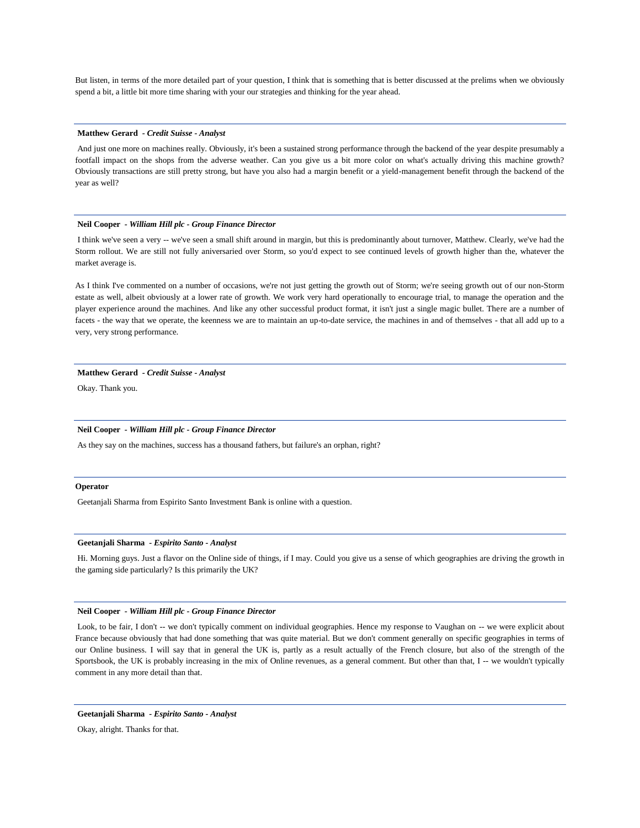But listen, in terms of the more detailed part of your question, I think that is something that is better discussed at the prelims when we obviously spend a bit, a little bit more time sharing with your our strategies and thinking for the year ahead.

## **Matthew Gerard** *- Credit Suisse - Analyst*

And just one more on machines really. Obviously, it's been a sustained strong performance through the backend of the year despite presumably a footfall impact on the shops from the adverse weather. Can you give us a bit more color on what's actually driving this machine growth? Obviously transactions are still pretty strong, but have you also had a margin benefit or a yield-management benefit through the backend of the year as well?

## **Neil Cooper** *- William Hill plc - Group Finance Director*

I think we've seen a very -- we've seen a small shift around in margin, but this is predominantly about turnover, Matthew. Clearly, we've had the Storm rollout. We are still not fully aniversaried over Storm, so you'd expect to see continued levels of growth higher than the, whatever the market average is.

As I think I've commented on a number of occasions, we're not just getting the growth out of Storm; we're seeing growth out of our non-Storm estate as well, albeit obviously at a lower rate of growth. We work very hard operationally to encourage trial, to manage the operation and the player experience around the machines. And like any other successful product format, it isn't just a single magic bullet. There are a number of facets - the way that we operate, the keenness we are to maintain an up-to-date service, the machines in and of themselves - that all add up to a very, very strong performance.

## **Matthew Gerard** *- Credit Suisse - Analyst*

Okay. Thank you.

# **Neil Cooper** *- William Hill plc - Group Finance Director*

As they say on the machines, success has a thousand fathers, but failure's an orphan, right?

# **Operator**

Geetanjali Sharma from Espirito Santo Investment Bank is online with a question.

#### **Geetanjali Sharma** *- Espirito Santo - Analyst*

Hi. Morning guys. Just a flavor on the Online side of things, if I may. Could you give us a sense of which geographies are driving the growth in the gaming side particularly? Is this primarily the UK?

#### **Neil Cooper** *- William Hill plc - Group Finance Director*

Look, to be fair, I don't -- we don't typically comment on individual geographies. Hence my response to Vaughan on -- we were explicit about France because obviously that had done something that was quite material. But we don't comment generally on specific geographies in terms of our Online business. I will say that in general the UK is, partly as a result actually of the French closure, but also of the strength of the Sportsbook, the UK is probably increasing in the mix of Online revenues, as a general comment. But other than that, I -- we wouldn't typically comment in any more detail than that.

**Geetanjali Sharma** *- Espirito Santo - Analyst* 

Okay, alright. Thanks for that.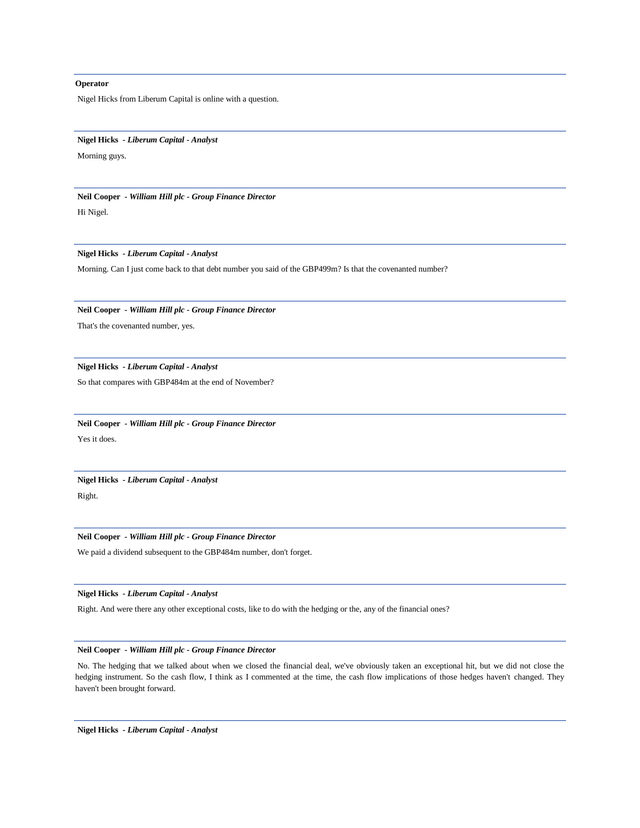# **Operator**

Nigel Hicks from Liberum Capital is online with a question.

#### **Nigel Hicks** *- Liberum Capital - Analyst*

Morning guys.

**Neil Cooper** *- William Hill plc - Group Finance Director*  Hi Nigel.

**Nigel Hicks** *- Liberum Capital - Analyst* 

Morning. Can I just come back to that debt number you said of the GBP499m? Is that the covenanted number?

**Neil Cooper** *- William Hill plc - Group Finance Director* 

That's the covenanted number, yes.

**Nigel Hicks** *- Liberum Capital - Analyst* 

So that compares with GBP484m at the end of November?

**Neil Cooper** *- William Hill plc - Group Finance Director*  Yes it does.

**Nigel Hicks** *- Liberum Capital - Analyst*  Right.

**Neil Cooper** *- William Hill plc - Group Finance Director* 

We paid a dividend subsequent to the GBP484m number, don't forget.

**Nigel Hicks** *- Liberum Capital - Analyst* 

Right. And were there any other exceptional costs, like to do with the hedging or the, any of the financial ones?

# **Neil Cooper** *- William Hill plc - Group Finance Director*

No. The hedging that we talked about when we closed the financial deal, we've obviously taken an exceptional hit, but we did not close the hedging instrument. So the cash flow, I think as I commented at the time, the cash flow implications of those hedges haven't changed. They haven't been brought forward.

**Nigel Hicks** *- Liberum Capital - Analyst*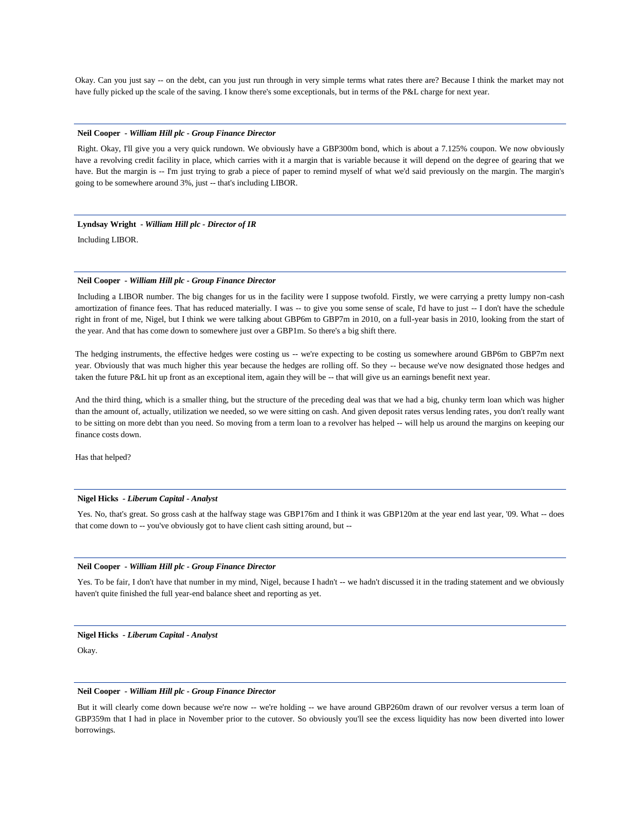Okay. Can you just say -- on the debt, can you just run through in very simple terms what rates there are? Because I think the market may not have fully picked up the scale of the saving. I know there's some exceptionals, but in terms of the P&L charge for next year.

#### **Neil Cooper** *- William Hill plc - Group Finance Director*

Right. Okay, I'll give you a very quick rundown. We obviously have a GBP300m bond, which is about a 7.125% coupon. We now obviously have a revolving credit facility in place, which carries with it a margin that is variable because it will depend on the degree of gearing that we have. But the margin is -- I'm just trying to grab a piece of paper to remind myself of what we'd said previously on the margin. The margin's going to be somewhere around 3%, just -- that's including LIBOR.

**Lyndsay Wright** *- William Hill plc - Director of IR* 

Including LIBOR.

# **Neil Cooper** *- William Hill plc - Group Finance Director*

Including a LIBOR number. The big changes for us in the facility were I suppose twofold. Firstly, we were carrying a pretty lumpy non-cash amortization of finance fees. That has reduced materially. I was -- to give you some sense of scale, I'd have to just -- I don't have the schedule right in front of me, Nigel, but I think we were talking about GBP6m to GBP7m in 2010, on a full-year basis in 2010, looking from the start of the year. And that has come down to somewhere just over a GBP1m. So there's a big shift there.

The hedging instruments, the effective hedges were costing us -- we're expecting to be costing us somewhere around GBP6m to GBP7m next year. Obviously that was much higher this year because the hedges are rolling off. So they -- because we've now designated those hedges and taken the future P&L hit up front as an exceptional item, again they will be -- that will give us an earnings benefit next year.

And the third thing, which is a smaller thing, but the structure of the preceding deal was that we had a big, chunky term loan which was higher than the amount of, actually, utilization we needed, so we were sitting on cash. And given deposit rates versus lending rates, you don't really want to be sitting on more debt than you need. So moving from a term loan to a revolver has helped -- will help us around the margins on keeping our finance costs down.

Has that helped?

# **Nigel Hicks** *- Liberum Capital - Analyst*

Yes. No, that's great. So gross cash at the halfway stage was GBP176m and I think it was GBP120m at the year end last year, '09. What -- does that come down to -- you've obviously got to have client cash sitting around, but --

# **Neil Cooper** *- William Hill plc - Group Finance Director*

Yes. To be fair, I don't have that number in my mind, Nigel, because I hadn't -- we hadn't discussed it in the trading statement and we obviously haven't quite finished the full year-end balance sheet and reporting as yet.

#### **Nigel Hicks** *- Liberum Capital - Analyst*

Okay.

#### **Neil Cooper** *- William Hill plc - Group Finance Director*

But it will clearly come down because we're now -- we're holding -- we have around GBP260m drawn of our revolver versus a term loan of GBP359m that I had in place in November prior to the cutover. So obviously you'll see the excess liquidity has now been diverted into lower borrowings.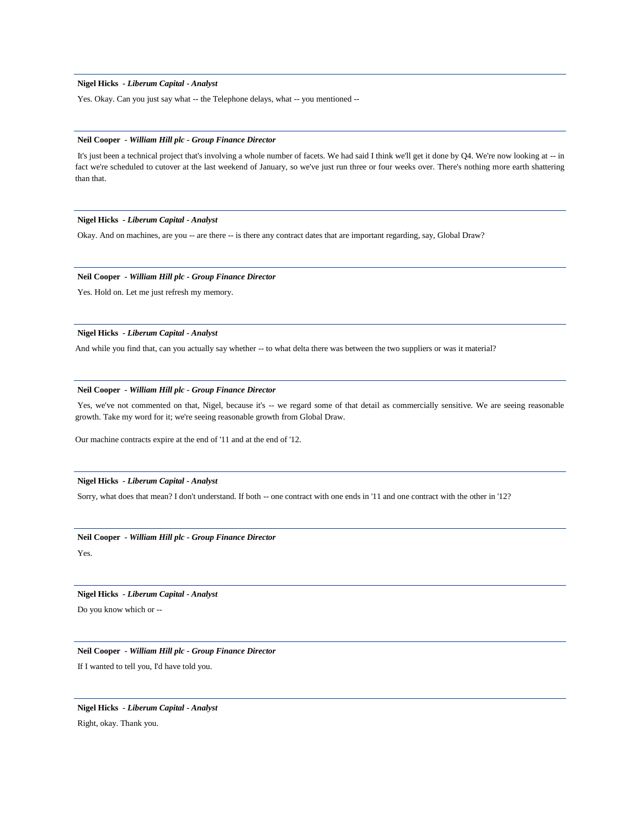# **Nigel Hicks** *- Liberum Capital - Analyst*

Yes. Okay. Can you just say what -- the Telephone delays, what -- you mentioned --

#### **Neil Cooper** *- William Hill plc - Group Finance Director*

It's just been a technical project that's involving a whole number of facets. We had said I think we'll get it done by Q4. We're now looking at -- in fact we're scheduled to cutover at the last weekend of January, so we've just run three or four weeks over. There's nothing more earth shattering than that.

# **Nigel Hicks** *- Liberum Capital - Analyst*

Okay. And on machines, are you -- are there -- is there any contract dates that are important regarding, say, Global Draw?

# **Neil Cooper** *- William Hill plc - Group Finance Director*

Yes. Hold on. Let me just refresh my memory.

## **Nigel Hicks** *- Liberum Capital - Analyst*

And while you find that, can you actually say whether -- to what delta there was between the two suppliers or was it material?

# **Neil Cooper** *- William Hill plc - Group Finance Director*

Yes, we've not commented on that, Nigel, because it's -- we regard some of that detail as commercially sensitive. We are seeing reasonable growth. Take my word for it; we're seeing reasonable growth from Global Draw.

Our machine contracts expire at the end of '11 and at the end of '12.

#### **Nigel Hicks** *- Liberum Capital - Analyst*

Sorry, what does that mean? I don't understand. If both -- one contract with one ends in '11 and one contract with the other in '12?

**Neil Cooper** *- William Hill plc - Group Finance Director*  Yes.

**Nigel Hicks** *- Liberum Capital - Analyst* 

Do you know which or --

**Neil Cooper** *- William Hill plc - Group Finance Director*  If I wanted to tell you, I'd have told you.

**Nigel Hicks** *- Liberum Capital - Analyst*  Right, okay. Thank you.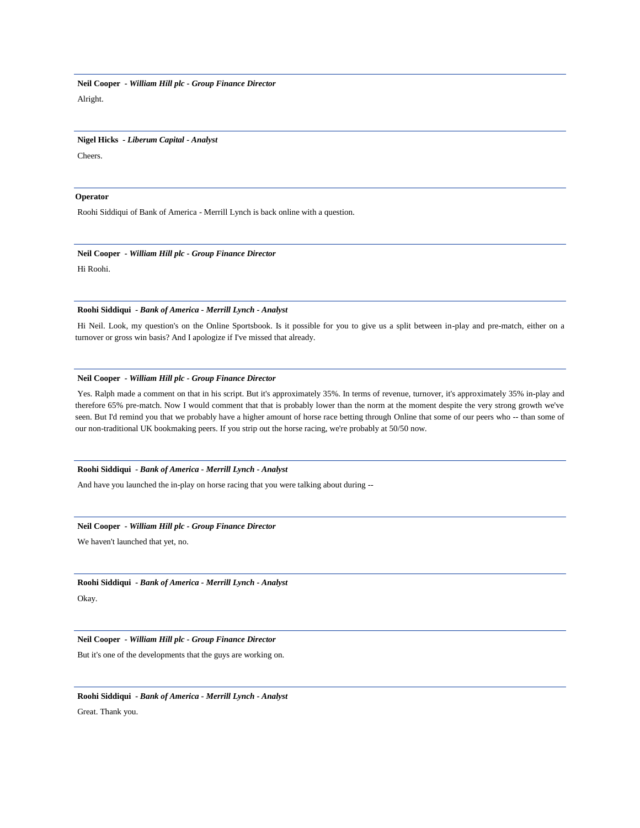#### **Nigel Hicks** *- Liberum Capital - Analyst*

Cheers.

# **Operator**

Roohi Siddiqui of Bank of America - Merrill Lynch is back online with a question.

# **Neil Cooper** *- William Hill plc - Group Finance Director*

Hi Roohi.

# **Roohi Siddiqui** *- Bank of America - Merrill Lynch - Analyst*

Hi Neil. Look, my question's on the Online Sportsbook. Is it possible for you to give us a split between in-play and pre-match, either on a turnover or gross win basis? And I apologize if I've missed that already.

# **Neil Cooper** *- William Hill plc - Group Finance Director*

Yes. Ralph made a comment on that in his script. But it's approximately 35%. In terms of revenue, turnover, it's approximately 35% in-play and therefore 65% pre-match. Now I would comment that that is probably lower than the norm at the moment despite the very strong growth we've seen. But I'd remind you that we probably have a higher amount of horse race betting through Online that some of our peers who -- than some of our non-traditional UK bookmaking peers. If you strip out the horse racing, we're probably at 50/50 now.

## **Roohi Siddiqui** *- Bank of America - Merrill Lynch - Analyst*

And have you launched the in-play on horse racing that you were talking about during --

# **Neil Cooper** *- William Hill plc - Group Finance Director*

We haven't launched that yet, no.

**Roohi Siddiqui** *- Bank of America - Merrill Lynch - Analyst*  Okay.

**Neil Cooper** *- William Hill plc - Group Finance Director* 

But it's one of the developments that the guys are working on.

**Roohi Siddiqui** *- Bank of America - Merrill Lynch - Analyst*  Great. Thank you.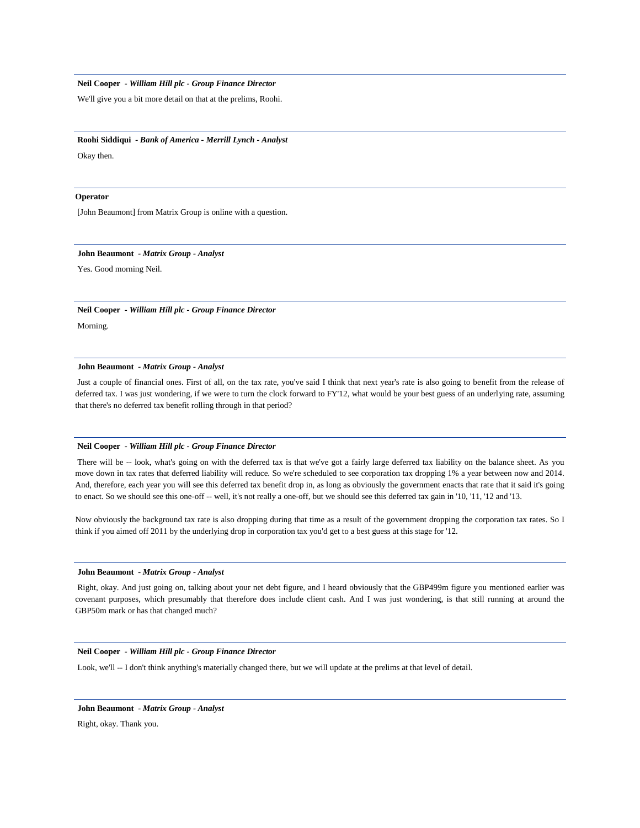We'll give you a bit more detail on that at the prelims, Roohi.

#### **Roohi Siddiqui** *- Bank of America - Merrill Lynch - Analyst*

Okay then.

#### **Operator**

[John Beaumont] from Matrix Group is online with a question.

#### **John Beaumont** *- Matrix Group - Analyst*

Yes. Good morning Neil.

# **Neil Cooper** *- William Hill plc - Group Finance Director*

Morning.

# **John Beaumont** *- Matrix Group - Analyst*

Just a couple of financial ones. First of all, on the tax rate, you've said I think that next year's rate is also going to benefit from the release of deferred tax. I was just wondering, if we were to turn the clock forward to FY'12, what would be your best guess of an underlying rate, assuming that there's no deferred tax benefit rolling through in that period?

#### **Neil Cooper** *- William Hill plc - Group Finance Director*

There will be -- look, what's going on with the deferred tax is that we've got a fairly large deferred tax liability on the balance sheet. As you move down in tax rates that deferred liability will reduce. So we're scheduled to see corporation tax dropping 1% a year between now and 2014. And, therefore, each year you will see this deferred tax benefit drop in, as long as obviously the government enacts that rate that it said it's going to enact. So we should see this one-off -- well, it's not really a one-off, but we should see this deferred tax gain in '10, '11, '12 and '13.

Now obviously the background tax rate is also dropping during that time as a result of the government dropping the corporation tax rates. So I think if you aimed off 2011 by the underlying drop in corporation tax you'd get to a best guess at this stage for '12.

### **John Beaumont** *- Matrix Group - Analyst*

Right, okay. And just going on, talking about your net debt figure, and I heard obviously that the GBP499m figure you mentioned earlier was covenant purposes, which presumably that therefore does include client cash. And I was just wondering, is that still running at around the GBP50m mark or has that changed much?

## **Neil Cooper** *- William Hill plc - Group Finance Director*

Look, we'll -- I don't think anything's materially changed there, but we will update at the prelims at that level of detail.

# **John Beaumont** *- Matrix Group - Analyst*

Right, okay. Thank you.